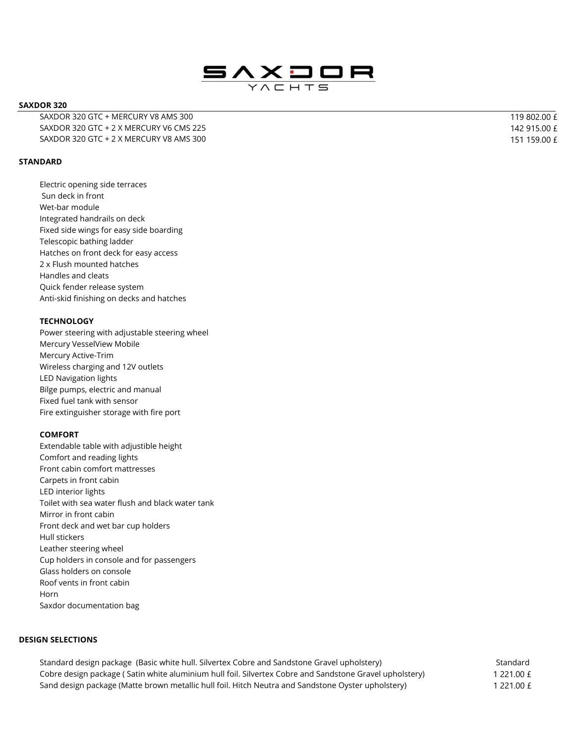

#### **SAXDOR 320**

SAXDOR 320 GTC + MERCURY V8 AMS 300 SAXDOR 320 GTC + 2 X MERCURY V6 CMS 225 SAXDOR 320 GTC + 2 X MERCURY V8 AMS 300  $\pm$  151 159.00  $\pm$ 

# **STANDARD**

Electric opening side terraces Sun deck in front Wet-bar module Integrated handrails on deck Fixed side wings for easy side boarding Telescopic bathing ladder Hatches on front deck for easy access 2 x Flush mounted hatches Handles and cleats Quick fender release system Anti-skid finishing on decks and hatches

# **TECHNOLOGY**

Power steering with adjustable steering wheel Mercury VesselView Mobile Mercury Active-Trim Wireless charging and 12V outlets LED Navigation lights Bilge pumps, electric and manual Fixed fuel tank with sensor Fire extinguisher storage with fire port

## **COMFORT**

Extendable table with adjustible height Comfort and reading lights Front cabin comfort mattresses Carpets in front cabin LED interior lights Toilet with sea water flush and black water tank Mirror in front cabin Front deck and wet bar cup holders Hull stickers Leather steering wheel Cup holders in console and for passengers Glass holders on console Roof vents in front cabin Horn Saxdor documentation bag

# **DESIGN SELECTIONS**

Standard design package (Basic white hull. Silvertex Cobre and Sandstone Gravel upholstery) Cobre design package ( Satin white aluminium hull foil. Silvertex Cobre and Sandstone Gravel upholstery) Sand design package (Matte brown metallic hull foil. Hitch Neutra and Sandstone Oyster upholstery) 1221.00 £

**Standard** 1 221.00 £

 119 802.00 £ 142 915.00 £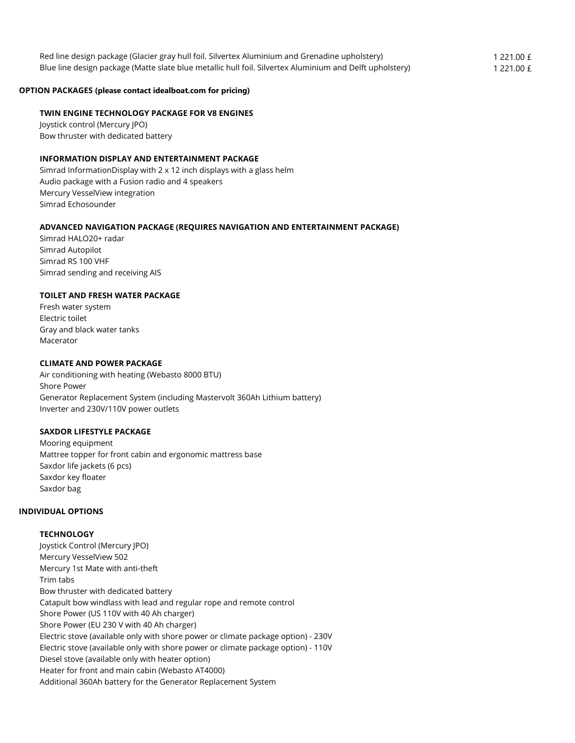| Red line design package (Glacier gray hull foil. Silvertex Aluminium and Grenadine upholstery)           | 1 221.00 £ |
|----------------------------------------------------------------------------------------------------------|------------|
| Blue line design package (Matte slate blue metallic hull foil. Silvertex Aluminium and Delft upholstery) | 1 221.00 £ |

#### **OPTION PACKAGES (please contact idealboat.com for pricing)**

#### **TWIN ENGINE TECHNOLOGY PACKAGE FOR V8 ENGINES**

Joystick control (Mercury JPO) Bow thruster with dedicated battery

## **INFORMATION DISPLAY AND ENTERTAINMENT PACKAGE**

Simrad InformationDisplay with 2 x 12 inch displays with a glass helm Audio package with a Fusion radio and 4 speakers Mercury VesselView integration Simrad Echosounder

## **ADVANCED NAVIGATION PACKAGE (REQUIRES NAVIGATION AND ENTERTAINMENT PACKAGE)**

Simrad HALO20+ radar Simrad Autopilot Simrad RS 100 VHF Simrad sending and receiving AIS

#### **TOILET AND FRESH WATER PACKAGE**

Fresh water system Electric toilet Gray and black water tanks Macerator

#### **CLIMATE AND POWER PACKAGE**

Air conditioning with heating (Webasto 8000 BTU) Shore Power Generator Replacement System (including Mastervolt 360Ah Lithium battery) Inverter and 230V/110V power outlets

#### **SAXDOR LIFESTYLE PACKAGE**

Mooring equipment Mattree topper for front cabin and ergonomic mattress base Saxdor life jackets (6 pcs) Saxdor key floater Saxdor bag

# **INDIVIDUAL OPTIONS**

#### **TECHNOLOGY**

Joystick Control (Mercury JPO) Mercury VesselView 502 Mercury 1st Mate with anti-theft Trim tabs Bow thruster with dedicated battery Catapult bow windlass with lead and regular rope and remote control Shore Power (US 110V with 40 Ah charger) Shore Power (EU 230 V with 40 Ah charger) Electric stove (available only with shore power or climate package option) - 230V Electric stove (available only with shore power or climate package option) - 110V Diesel stove (available only with heater option) Heater for front and main cabin (Webasto AT4000) Additional 360Ah battery for the Generator Replacement System